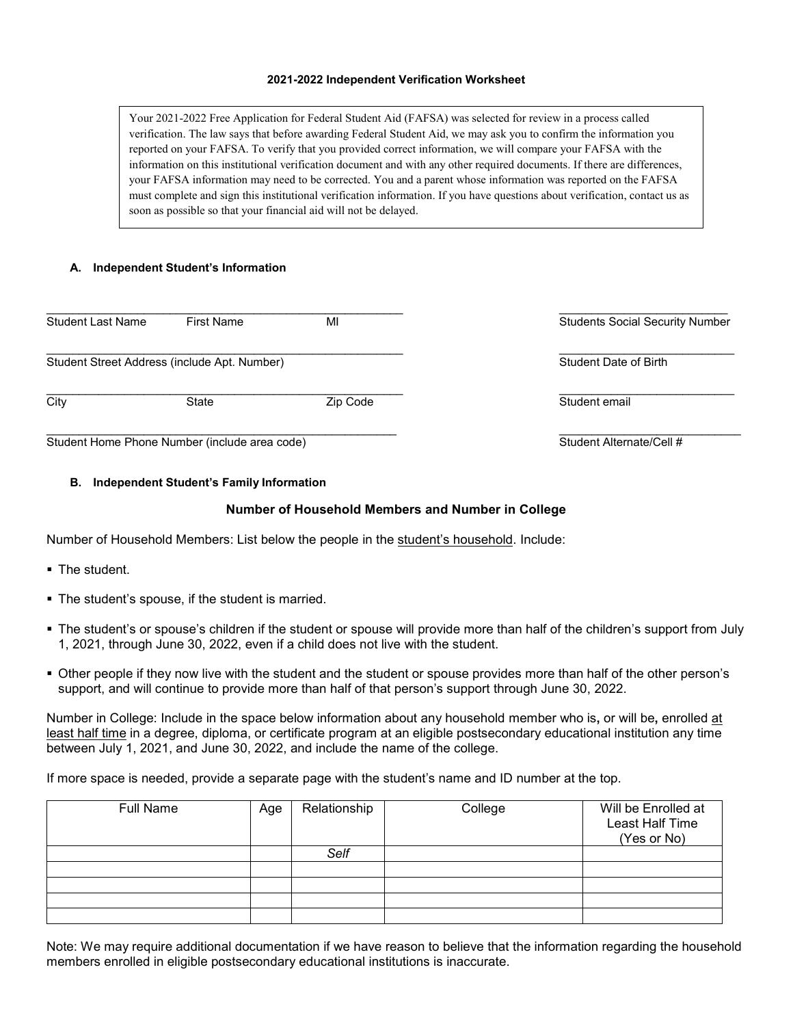## **2021-2022 Independent Verification Worksheet**

Your 2021-2022 Free Application for Federal Student Aid (FAFSA) was selected for review in a process called verification. The law says that before awarding Federal Student Aid, we may ask you to confirm the information you reported on your FAFSA. To verify that you provided correct information, we will compare your FAFSA with the information on this institutional verification document and with any other required documents. If there are differences, your FAFSA information may need to be corrected. You and a parent whose information was reported on the FAFSA must complete and sign this institutional verification information. If you have questions about verification, contact us as soon as possible so that your financial aid will not be delayed.

# **A. Independent Student's Information**

| Student Last Name                             | <b>First Name</b> | MI       | <b>Students Social Security Number</b> |
|-----------------------------------------------|-------------------|----------|----------------------------------------|
| Student Street Address (include Apt. Number)  |                   |          | Student Date of Birth                  |
| City                                          | State             | Zip Code | Student email                          |
| Student Home Phone Number (include area code) |                   |          | Student Alternate/Cell #               |

## **B. Independent Student's Family Information**

## **Number of Household Members and Number in College**

Number of Household Members: List below the people in the student's household. Include:

- The student.
- The student's spouse, if the student is married.
- The student's or spouse's children if the student or spouse will provide more than half of the children's support from July 1, 2021, through June 30, 2022, even if a child does not live with the student.
- Other people if they now live with the student and the student or spouse provides more than half of the other person's support, and will continue to provide more than half of that person's support through June 30, 2022.

Number in College: Include in the space below information about any household member who is**,** or will be**,** enrolled at least half time in a degree, diploma, or certificate program at an eligible postsecondary educational institution any time between July 1, 2021, and June 30, 2022, and include the name of the college.

If more space is needed, provide a separate page with the student's name and ID number at the top.

| <b>Full Name</b> | Age | Relationship | College | Will be Enrolled at<br>Least Half Time<br>(Yes or No) |
|------------------|-----|--------------|---------|-------------------------------------------------------|
|                  |     | Self         |         |                                                       |
|                  |     |              |         |                                                       |
|                  |     |              |         |                                                       |
|                  |     |              |         |                                                       |
|                  |     |              |         |                                                       |

Note: We may require additional documentation if we have reason to believe that the information regarding the household members enrolled in eligible postsecondary educational institutions is inaccurate.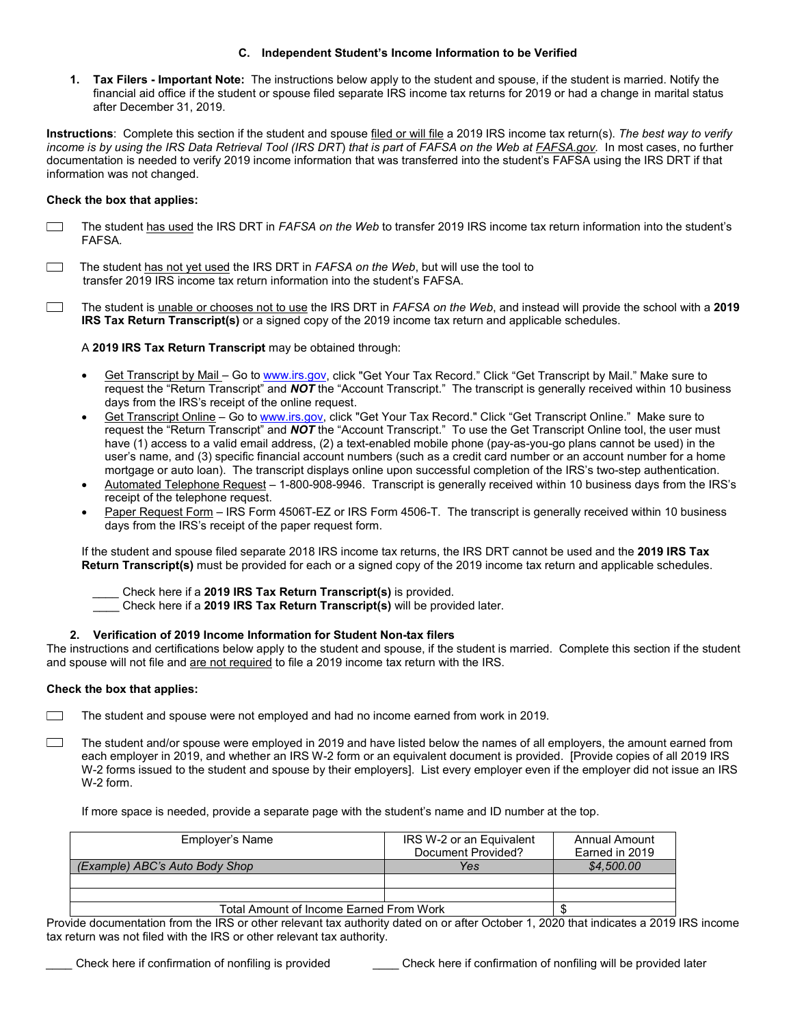### **C. Independent Student's Income Information to be Verified**

**1. Tax Filers - Important Note:** The instructions below apply to the student and spouse, if the student is married. Notify the financial aid office if the student or spouse filed separate IRS income tax returns for 2019 or had a change in marital status after December 31, 2019.

**Instructions**: Complete this section if the student and spouse filed or will file a 2019 IRS income tax return(s). *The best way to verify income is by using the IRS Data Retrieval Tool (IRS DRT*) *that is part o*f *FAFSA on the Web at FAFSA.gov.* In most cases, no further documentation is needed to verify 2019 income information that was transferred into the student's FAFSA using the IRS DRT if that information was not changed.

## **Check the box that applies:**

- $\Box$ The student has used the IRS DRT in *FAFSA on the Web* to transfer 2019 IRS income tax return information into the student's FAFSA*.*
- $\Box$  The student has not yet used the IRS DRT in *FAFSA on the Web*, but will use the tool to transfer 2019 IRS income tax return information into the student's FAFSA.
- $\Box$ The student is unable or chooses not to use the IRS DRT in *FAFSA on the Web*, and instead will provide the school with a **2019 IRS Tax Return Transcript(s)** or a signed copy of the 2019 income tax return and applicable schedules.

A **2019 IRS Tax Return Transcript** may be obtained through:

- Get Transcript by Mail Go t[o www.irs.gov,](http://www.irs.gov/) click "Get Your Tax Record." Click "Get Transcript by Mail." Make sure to request the "Return Transcript" and *NOT* the "Account Transcript." The transcript is generally received within 10 business days from the IRS's receipt of the online request.
- Get Transcript Online Go to [www.irs.gov,](http://www.irs.gov/) click "Get Your Tax Record." Click "Get Transcript Online." Make sure to request the "Return Transcript" and *NOT* the "Account Transcript." To use the Get Transcript Online tool, the user must have (1) access to a valid email address, (2) a text-enabled mobile phone (pay-as-you-go plans cannot be used) in the user's name, and (3) specific financial account numbers (such as a credit card number or an account number for a home mortgage or auto loan). The transcript displays online upon successful completion of the IRS's two-step authentication.
- Automated Telephone Request 1-800-908-9946. Transcript is generally received within 10 business days from the IRS's receipt of the telephone request.
- Paper Request Form IRS Form 4506T-EZ or IRS Form 4506-T. The transcript is generally received within 10 business days from the IRS's receipt of the paper request form.

If the student and spouse filed separate 2018 IRS income tax returns, the IRS DRT cannot be used and the **2019 IRS Tax Return Transcript(s)** must be provided for each or a signed copy of the 2019 income tax return and applicable schedules.

- *\_\_\_\_* Check here if a **2019 IRS Tax Return Transcript(s)** is provided.
- \_\_\_\_ Check here if a **2019 IRS Tax Return Transcript(s)** will be provided later.

### **2. Verification of 2019 Income Information for Student Non-tax filers**

The instructions and certifications below apply to the student and spouse, if the student is married.Complete this section if the student and spouse will not file and are not required to file a 2019 income tax return with the IRS.

### **Check the box that applies:**

The student and spouse were not employed and had no income earned from work in 2019. <u>a sa sa</u>

 $\Box$ The student and/or spouse were employed in 2019 and have listed below the names of all employers, the amount earned from each employer in 2019, and whether an IRS W-2 form or an equivalent document is provided. [Provide copies of all 2019 IRS W-2 forms issued to the student and spouse by their employers]. List every employer even if the employer did not issue an IRS W-2 form.

If more space is needed, provide a separate page with the student's name and ID number at the top.

| Employer's Name                         | IRS W-2 or an Equivalent | Annual Amount  |
|-----------------------------------------|--------------------------|----------------|
|                                         | Document Provided?       | Earned in 2019 |
| (Example) ABC's Auto Body Shop          | Yes                      | \$4,500.00     |
|                                         |                          |                |
|                                         |                          |                |
| Total Amount of Income Earned From Work |                          |                |

Provide documentation from the IRS or other relevant tax authority dated on or after October 1, 2020 that indicates a 2019 IRS income tax return was not filed with the IRS or other relevant tax authority.